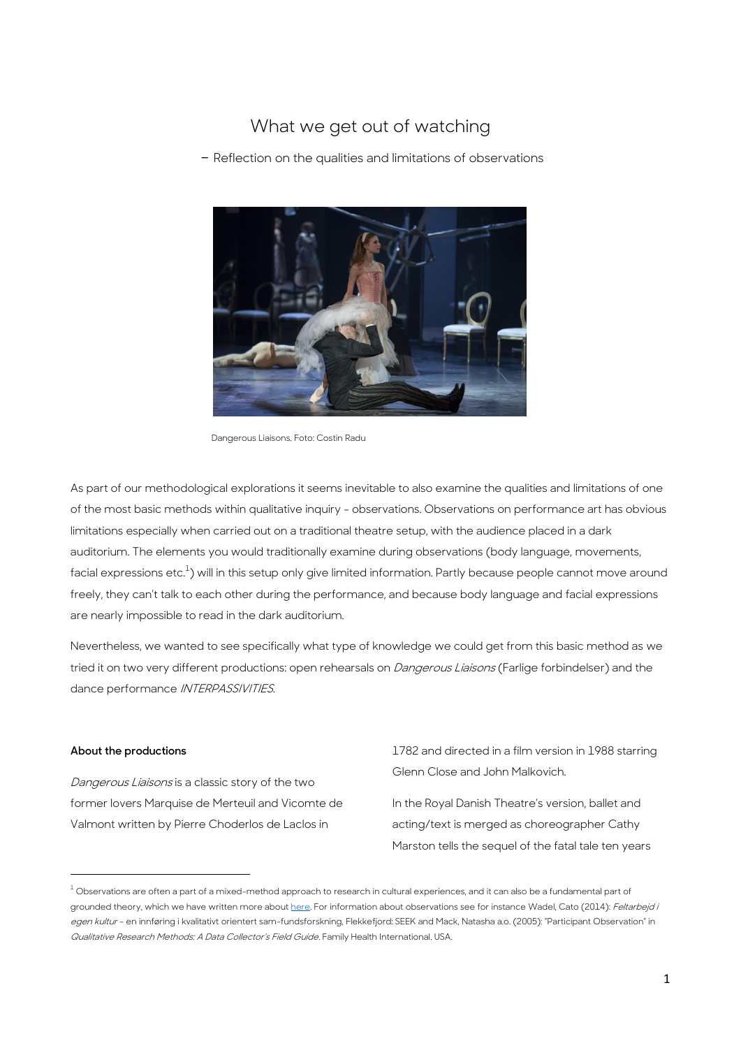# What we get out of watching

- Reflection on the qualities and limitations of observations



Dangerous Liaisons. Foto: Costin Radu

As part of our methodological explorations it seems inevitable to also examine the qualities and limitations of one of the most basic methods within qualitative inquiry - observations. Observations on performance art has obvious limitations especially when carried out on a traditional theatre setup, with the audience placed in a dark auditorium. The elements you would traditionally examine during observations (body language, movements, facial expressions etc. $^{\rm l}$ ) will in this setup only give limited information. Partly because people cannot move around freely, they can't talk to each other during the performance, and because body language and facial expressions are nearly impossible to read in the dark auditorium.

Nevertheless, we wanted to see specifically what type of knowledge we could get from this basic method as we tried it on two very different productions: open rehearsals on *Dangerous Liaisons* (Farlige forbindelser) and the dance performance *INTERPASSIVITIES*.

# **About the productions**

**.** 

Dangerous Liaisons is a classic story of the two former lovers Marquise de Merteuil and Vicomte de Valmont written by Pierre Choderlos de Laclos in

1782 and directed in a film version in 1988 starring Glenn Close and John Malkovich.

In the Royal Danish Theatre's version, ballet and acting/text is merged as choreographer Cathy Marston tells the sequel of the fatal tale ten years

 $1$  Observations are often a part of a mixed-method approach to research in cultural experiences, and it can also be a fundamental part of grounded theory, which we have written more abou[t here.](https://asuitcaseofmethods.files.wordpress.com/2017/01/the-theoretical-stand-point.pdf) For information about observations see for instance Wadel, Cato (2014): Feltarbejd i egen kultur - en innføring i kvalitativt orientert sam-fundsforskning, Flekkefjord: SEEK and Mack, Natasha a.o. (2005): "Participant Observation" in Qualitative Research Methods: A Data Collector's Field Guide. Family Health International. USA.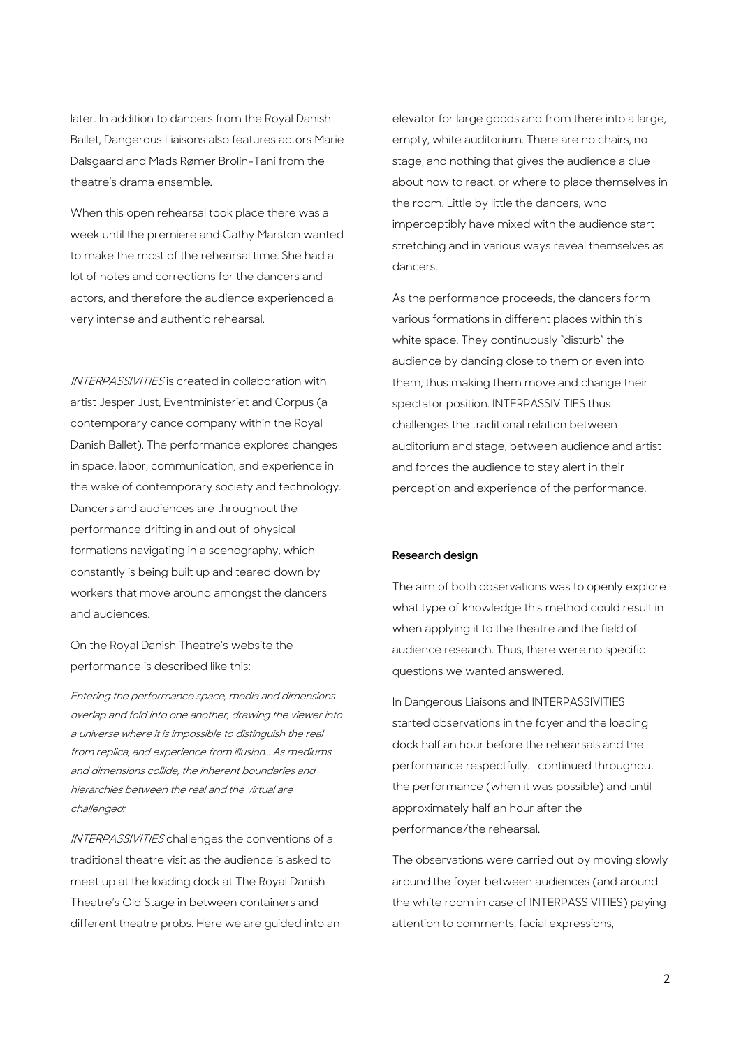later. In addition to dancers from the Royal Danish Ballet, Dangerous Liaisons also features actors Marie Dalsgaard and Mads Rømer Brolin-Tani from the theatre's drama ensemble.

When this open rehearsal took place there was a week until the premiere and Cathy Marston wanted to make the most of the rehearsal time. She had a lot of notes and corrections for the dancers and actors, and therefore the audience experienced a very intense and authentic rehearsal.

INTERPASSIVITIES is created in collaboration with artist Jesper Just, Eventministeriet and Corpus (a contemporary dance company within the Royal Danish Ballet). The performance explores changes in space, labor, communication, and experience in the wake of contemporary society and technology. Dancers and audiences are throughout the performance drifting in and out of physical formations navigating in a scenography, which constantly is being built up and teared down by workers that move around amongst the dancers and audiences.

On the Royal Danish Theatre's website the performance is described like this:

Entering the performance space, media and dimensions overlap and fold into one another, drawing the viewer into a universe where it is impossible to distinguish the real from replica, and experience from illusion… As mediums and dimensions collide, the inherent boundaries and hierarchies between the real and the virtual are challenged:

INTERPASSIVITIES challenges the conventions of a traditional theatre visit as the audience is asked to meet up at the loading dock at The Royal Danish Theatre's Old Stage in between containers and different theatre probs. Here we are guided into an elevator for large goods and from there into a large, empty, white auditorium. There are no chairs, no stage, and nothing that gives the audience a clue about how to react, or where to place themselves in the room. Little by little the dancers, who imperceptibly have mixed with the audience start stretching and in various ways reveal themselves as dancers.

As the performance proceeds, the dancers form various formations in different places within this white space. They continuously "disturb" the audience by dancing close to them or even into them, thus making them move and change their spectator position. INTERPASSIVITIES thus challenges the traditional relation between auditorium and stage, between audience and artist and forces the audience to stay alert in their perception and experience of the performance.

# **Research design**

The aim of both observations was to openly explore what type of knowledge this method could result in when applying it to the theatre and the field of audience research. Thus, there were no specific questions we wanted answered.

In Dangerous Liaisons and INTERPASSIVITIES I started observations in the foyer and the loading dock half an hour before the rehearsals and the performance respectfully. I continued throughout the performance (when it was possible) and until approximately half an hour after the performance/the rehearsal.

The observations were carried out by moving slowly around the foyer between audiences (and around the white room in case of INTERPASSIVITIES) paying attention to comments, facial expressions,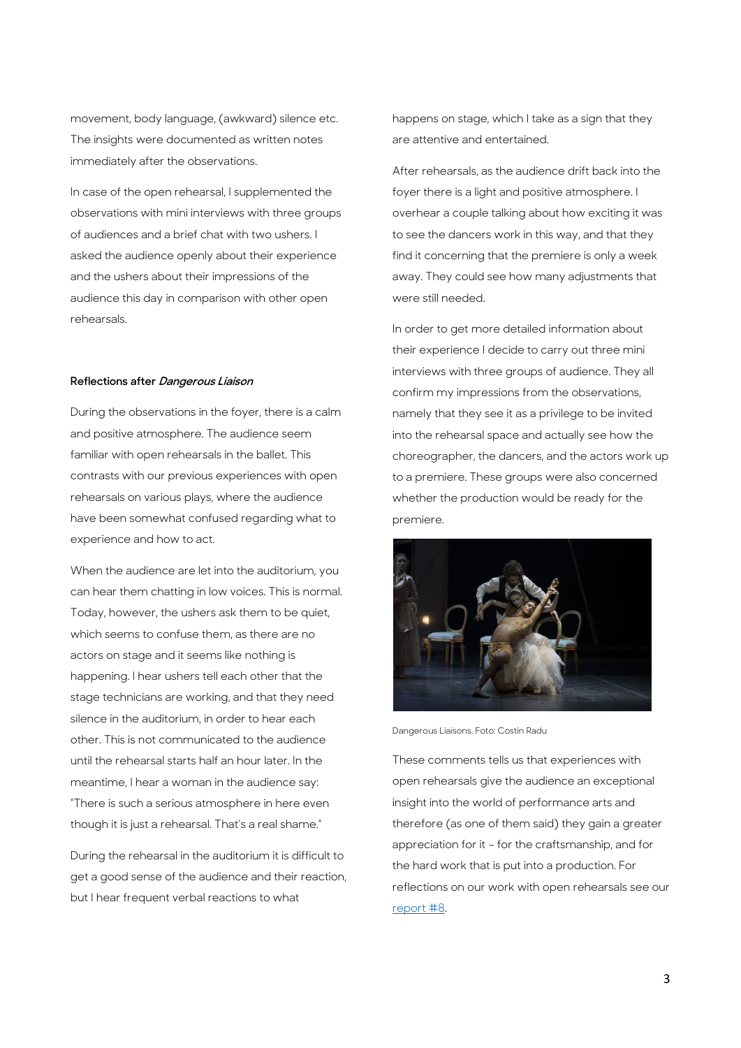movement, body language, (awkward) silence etc. The insights were documented as written notes immediately after the observations.

In case of the open rehearsal, I supplemented the observations with mini interviews with three groups of audiences and a brief chat with two ushers. I asked the audience openly about their experience and the ushers about their impressions of the audience this day in comparison with other open rehearsals.

# **Reflections after Dangerous Liaison**

During the observations in the foyer, there is a calm and positive atmosphere. The audience seem familiar with open rehearsals in the ballet. This contrasts with our previous experiences with open rehearsals on various plays, where the audience have been somewhat confused regarding what to experience and how to act.

When the audience are let into the auditorium, you can hear them chatting in low voices. This is normal. Today, however, the ushers ask them to be quiet, which seems to confuse them, as there are no actors on stage and it seems like nothing is happening. I hear ushers tell each other that the stage technicians are working, and that they need silence in the auditorium, in order to hear each other. This is not communicated to the audience until the rehearsal starts half an hour later. In the meantime, I hear a woman in the audience say: "There is such a serious atmosphere in here even though it is just a rehearsal. That's a real shame."

During the rehearsal in the auditorium it is difficult to get a good sense of the audience and their reaction, but I hear frequent verbal reactions to what

happens on stage, which I take as a sign that they are attentive and entertained.

After rehearsals, as the audience drift back into the foyer there is a light and positive atmosphere. I overhear a couple talking about how exciting it was to see the dancers work in this way, and that they find it concerning that the premiere is only a week away. They could see how many adjustments that were still needed.

In order to get more detailed information about their experience I decide to carry out three mini interviews with three groups of audience. They all confirm my impressions from the observations, namely that they see it as a privilege to be invited into the rehearsal space and actually see how the choreographer, the dancers, and the actors work up to a premiere. These groups were also concerned whether the production would be ready for the premiere.



Dangerous Liaisons. Foto: Costin Radu

These comments tells us that experiences with open rehearsals give the audience an exceptional insight into the world of performance arts and therefore (as one of them said) they gain a greater appreciation for it – for the craftsmanship, and for the hard work that is put into a production. For reflections on our work with open rehearsals see our [report #8.](https://asuitcaseofmethods.files.wordpress.com/2017/02/report8-open-rehearsals.pdf)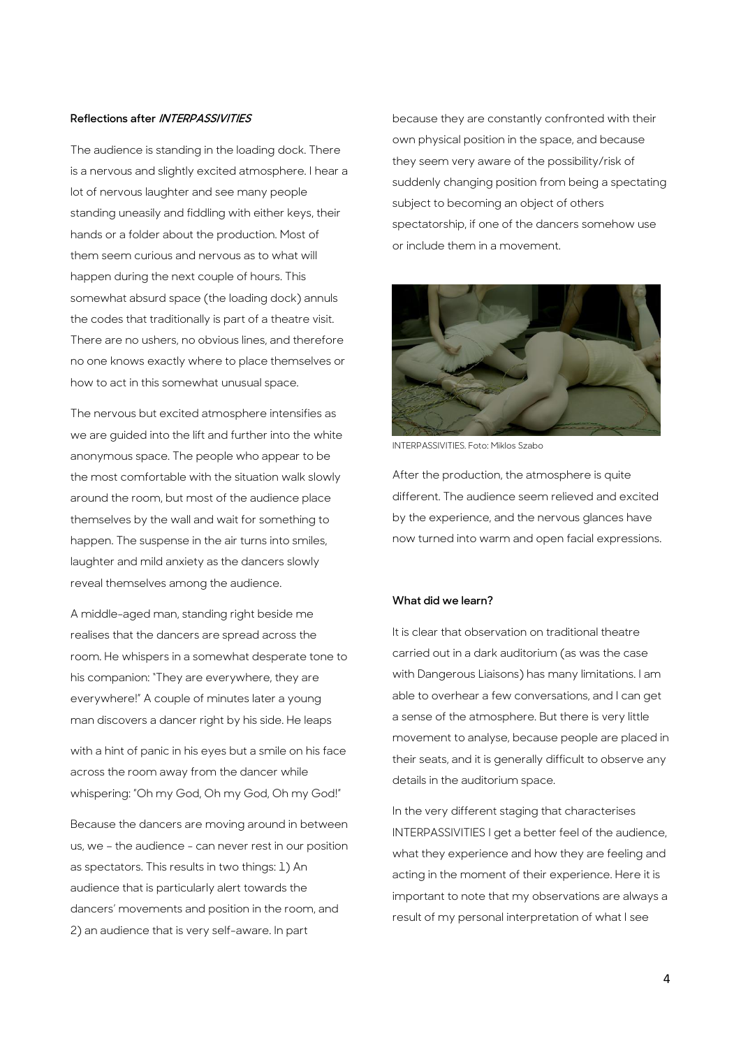# **Reflections after INTERPASSIVITIES**

The audience is standing in the loading dock. There is a nervous and slightly excited atmosphere. I hear a lot of nervous laughter and see many people standing uneasily and fiddling with either keys, their hands or a folder about the production. Most of them seem curious and nervous as to what will happen during the next couple of hours. This somewhat absurd space (the loading dock) annuls the codes that traditionally is part of a theatre visit. There are no ushers, no obvious lines, and therefore no one knows exactly where to place themselves or how to act in this somewhat unusual space.

The nervous but excited atmosphere intensifies as we are guided into the lift and further into the white anonymous space. The people who appear to be the most comfortable with the situation walk slowly around the room, but most of the audience place themselves by the wall and wait for something to happen. The suspense in the air turns into smiles, laughter and mild anxiety as the dancers slowly reveal themselves among the audience.

A middle-aged man, standing right beside me realises that the dancers are spread across the room. He whispers in a somewhat desperate tone to his companion: "They are everywhere, they are everywhere!" A couple of minutes later a young man discovers a dancer right by his side. He leaps

with a hint of panic in his eyes but a smile on his face across the room away from the dancer while whispering: "Oh my God, Oh my God, Oh my God!"

Because the dancers are moving around in between us, we – the audience - can never rest in our position as spectators. This results in two things: 1) An audience that is particularly alert towards the dancers' movements and position in the room, and 2) an audience that is very self-aware. In part

because they are constantly confronted with their own physical position in the space, and because they seem very aware of the possibility/risk of suddenly changing position from being a spectating subject to becoming an object of others spectatorship, if one of the dancers somehow use or include them in a movement.



INTERPASSIVITIES. Foto: Miklos Szabo

After the production, the atmosphere is quite different. The audience seem relieved and excited by the experience, and the nervous glances have now turned into warm and open facial expressions.

### **What did we learn?**

It is clear that observation on traditional theatre carried out in a dark auditorium (as was the case with Dangerous Liaisons) has many limitations. I am able to overhear a few conversations, and I can get a sense of the atmosphere. But there is very little movement to analyse, because people are placed in their seats, and it is generally difficult to observe any details in the auditorium space.

In the very different staging that characterises INTERPASSIVITIES I get a better feel of the audience, what they experience and how they are feeling and acting in the moment of their experience. Here it is important to note that my observations are always a result of my personal interpretation of what I see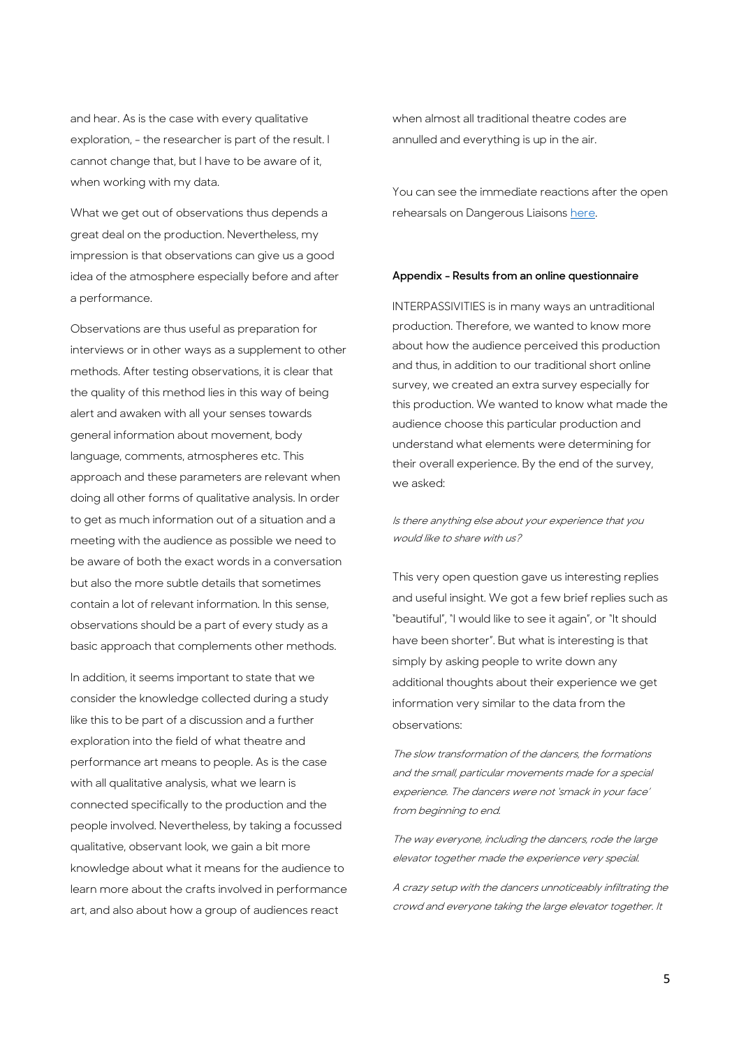and hear. As is the case with every qualitative exploration, - the researcher is part of the result. I cannot change that, but I have to be aware of it, when working with my data.

What we get out of observations thus depends a great deal on the production. Nevertheless, my impression is that observations can give us a good idea of the atmosphere especially before and after a performance.

Observations are thus useful as preparation for interviews or in other ways as a supplement to other methods. After testing observations, it is clear that the quality of this method lies in this way of being alert and awaken with all your senses towards general information about movement, body language, comments, atmospheres etc. This approach and these parameters are relevant when doing all other forms of qualitative analysis. In order to get as much information out of a situation and a meeting with the audience as possible we need to be aware of both the exact words in a conversation but also the more subtle details that sometimes contain a lot of relevant information. In this sense, observations should be a part of every study as a basic approach that complements other methods.

In addition, it seems important to state that we consider the knowledge collected during a study like this to be part of a discussion and a further exploration into the field of what theatre and performance art means to people. As is the case with all qualitative analysis, what we learn is connected specifically to the production and the people involved. Nevertheless, by taking a focussed qualitative, observant look, we gain a bit more knowledge about what it means for the audience to learn more about the crafts involved in performance art, and also about how a group of audiences react

when almost all traditional theatre codes are annulled and everything is up in the air.

You can see the immediate reactions after the open rehearsals on Dangerous Liaison[s here.](https://youtu.be/vdNgImG6po0) 

#### **Appendix - Results from an online questionnaire**

INTERPASSIVITIES is in many ways an untraditional production. Therefore, we wanted to know more about how the audience perceived this production and thus, in addition to our traditional short online survey, we created an extra survey especially for this production. We wanted to know what made the audience choose this particular production and understand what elements were determining for their overall experience. By the end of the survey, we asked:

Is there anything else about your experience that you would like to share with us?

This very open question gave us interesting replies and useful insight. We got a few brief replies such as "beautiful", "I would like to see it again", or "It should have been shorter". But what is interesting is that simply by asking people to write down any additional thoughts about their experience we get information very similar to the data from the observations:

The slow transformation of the dancers, the formations and the small, particular movements made for a special experience. The dancers were not 'smack in your face' from beginning to end.

The way everyone, including the dancers, rode the large elevator together made the experience very special.

A crazy setup with the dancers unnoticeably infiltrating the crowd and everyone taking the large elevator together. It